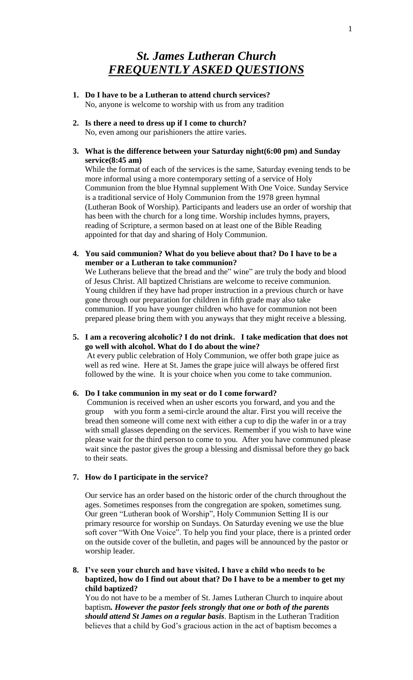# *St. James Lutheran Church FREQUENTLY ASKED QUESTIONS*

- **1. Do I have to be a Lutheran to attend church services?** No, anyone is welcome to worship with us from any tradition
- **2. Is there a need to dress up if I come to church?** No, even among our parishioners the attire varies.
- **3. What is the difference between your Saturday night(6:00 pm) and Sunday service(8:45 am)**

While the format of each of the services is the same, Saturday evening tends to be more informal using a more contemporary setting of a service of Holy Communion from the blue Hymnal supplement With One Voice. Sunday Service is a traditional service of Holy Communion from the 1978 green hymnal (Lutheran Book of Worship). Participants and leaders use an order of worship that has been with the church for a long time. Worship includes hymns, prayers, reading of Scripture, a sermon based on at least one of the Bible Reading appointed for that day and sharing of Holy Communion.

**4. You said communion? What do you believe about that? Do I have to be a member or a Lutheran to take communion?**

We Lutherans believe that the bread and the" wine" are truly the body and blood of Jesus Christ. All baptized Christians are welcome to receive communion. Young children if they have had proper instruction in a previous church or have gone through our preparation for children in fifth grade may also take communion. If you have younger children who have for communion not been prepared please bring them with you anyways that they might receive a blessing.

**5. I am a recovering alcoholic? I do not drink. I take medication that does not go well with alcohol. What do I do about the wine?** At every public celebration of Holy Communion, we offer both grape juice as well as red wine. Here at St. James the grape juice will always be offered first followed by the wine. It is your choice when you come to take communion.

### **6. Do I take communion in my seat or do I come forward?**

Communion is received when an usher escorts you forward, and you and the group with you form a semi-circle around the altar. First you will receive the bread then someone will come next with either a cup to dip the wafer in or a tray with small glasses depending on the services. Remember if you wish to have wine please wait for the third person to come to you. After you have communed please wait since the pastor gives the group a blessing and dismissal before they go back to their seats.

# **7. How do I participate in the service?**

Our service has an order based on the historic order of the church throughout the ages. Sometimes responses from the congregation are spoken, sometimes sung. Our green "Lutheran book of Worship", Holy Communion Setting II is our primary resource for worship on Sundays. On Saturday evening we use the blue soft cover "With One Voice". To help you find your place, there is a printed order on the outside cover of the bulletin, and pages will be announced by the pastor or worship leader.

**8. I've seen your church and have visited. I have a child who needs to be baptized, how do I find out about that? Do I have to be a member to get my child baptized?**

You do not have to be a member of St. James Lutheran Church to inquire about baptism*. However the pastor feels strongly that one or both of the parents should attend St James on a regular basis*. Baptism in the Lutheran Tradition believes that a child by God's gracious action in the act of baptism becomes a